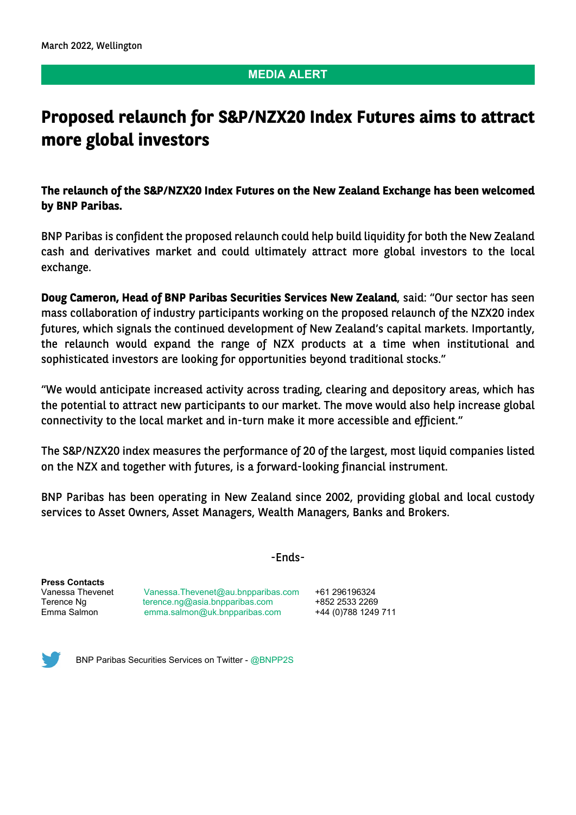## **MEDIA ALERT**

## **Proposed relaunch for S&P/NZX20 Index Futures aims to attract more global investors**

**The relaunch of the S&P/NZX20 Index Futures on the New Zealand Exchange has been welcomed by BNP Paribas.** 

BNP Paribas is confident the proposed relaunch could help build liquidity for both the New Zealand cash and derivatives market and could ultimately attract more global investors to the local exchange.

**Doug Cameron, Head of BNP Paribas Securities Services New Zealand**, said: "Our sector has seen mass collaboration of industry participants working on the proposed relaunch of the NZX20 index futures, which signals the continued development of New Zealand's capital markets. Importantly, the relaunch would expand the range of NZX products at a time when institutional and sophisticated investors are looking for opportunities beyond traditional stocks."

"We would anticipate increased activity across trading, clearing and depository areas, which has the potential to attract new participants to our market. The move would also help increase global connectivity to the local market and in-turn make it more accessible and efficient."

The S&P/NZX20 index measures the performance of 20 of the largest, most liquid companies listed on the NZX and together with futures, is a forward-looking financial instrument.

BNP Paribas has been operating in New Zealand since 2002, providing global and local custody services to Asset Owners, Asset Managers, Wealth Managers, Banks and Brokers.

-Ends-

**Press Contacts**

[Vanessa.Thevenet@au.bnpparibas.com](mailto:Vanessa.Thevenet@au.bnpparibas.com)  $+61$  296196324 Terence Ng [terence.ng@asia.bnpparibas.com](mailto:terence.ng@asia.bnpparibas.com) +852 2533 2269 Emma Salmon [emma.salmon@uk.bnpparibas.com](mailto:emma.salmon@uk.bnpparibas.com) +44 (0)788 1249 711



BNP Paribas Securities Services on Twitter - [@BNPP2S](https://twitter.com/BNPP2S?lang=en)